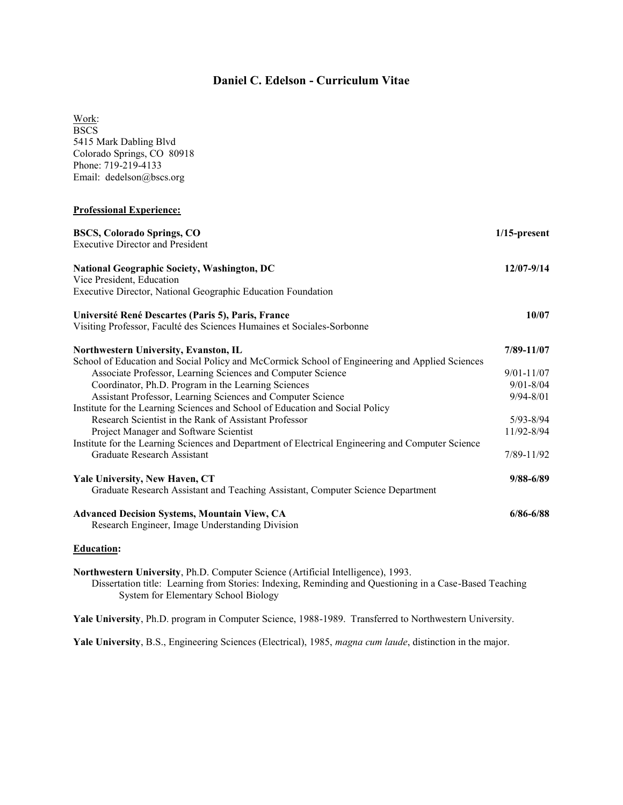# **Daniel C. Edelson - Curriculum Vitae**

Work: **BSCS** 5415 Mark Dabling Blvd Colorado Springs, CO 80918 Phone: 719-219-4133 Email: dedelson@bscs.org

## **Professional Experience:**

| <b>BSCS, Colorado Springs, CO</b><br><b>Executive Director and President</b>                      | $1/15$ -present |
|---------------------------------------------------------------------------------------------------|-----------------|
| National Geographic Society, Washington, DC                                                       | 12/07-9/14      |
| Vice President, Education                                                                         |                 |
| Executive Director, National Geographic Education Foundation                                      |                 |
| Université René Descartes (Paris 5), Paris, France                                                | 10/07           |
| Visiting Professor, Faculté des Sciences Humaines et Sociales-Sorbonne                            |                 |
| Northwestern University, Evanston, IL                                                             | 7/89-11/07      |
| School of Education and Social Policy and McCormick School of Engineering and Applied Sciences    |                 |
| Associate Professor, Learning Sciences and Computer Science                                       | $9/01 - 11/07$  |
| Coordinator, Ph.D. Program in the Learning Sciences                                               | $9/01 - 8/04$   |
| Assistant Professor, Learning Sciences and Computer Science                                       | $9/94 - 8/01$   |
| Institute for the Learning Sciences and School of Education and Social Policy                     |                 |
| Research Scientist in the Rank of Assistant Professor                                             | $5/93 - 8/94$   |
| Project Manager and Software Scientist                                                            | 11/92-8/94      |
| Institute for the Learning Sciences and Department of Electrical Engineering and Computer Science |                 |
| Graduate Research Assistant                                                                       | 7/89-11/92      |
| Yale University, New Haven, CT                                                                    | $9/88 - 6/89$   |
| Graduate Research Assistant and Teaching Assistant, Computer Science Department                   |                 |
| <b>Advanced Decision Systems, Mountain View, CA</b>                                               | $6/86 - 6/88$   |
| Research Engineer, Image Understanding Division                                                   |                 |
|                                                                                                   |                 |

**Education:**

**Northwestern University**, Ph.D. Computer Science (Artificial Intelligence), 1993. Dissertation title: Learning from Stories: Indexing, Reminding and Questioning in a Case-Based Teaching System for Elementary School Biology

**Yale University**, Ph.D. program in Computer Science, 1988-1989. Transferred to Northwestern University.

**Yale University**, B.S., Engineering Sciences (Electrical), 1985, *magna cum laude*, distinction in the major.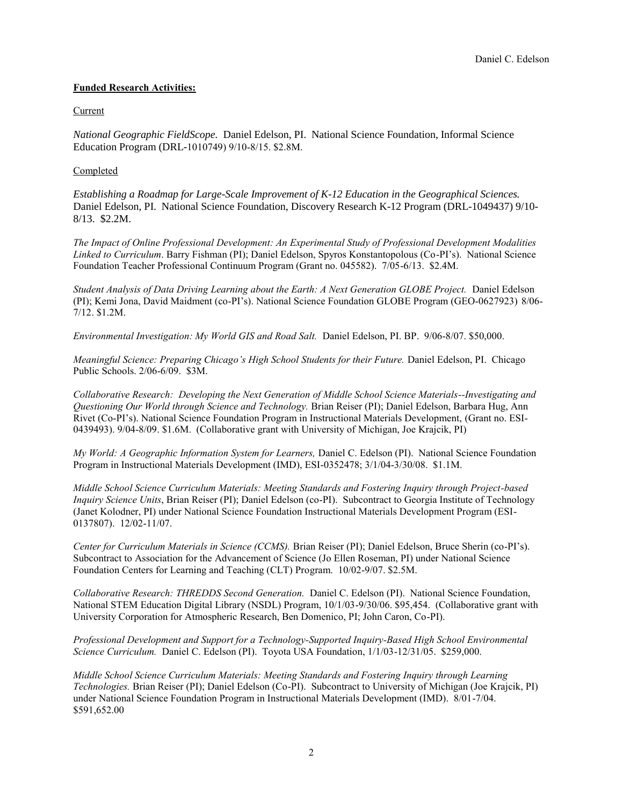## **Funded Research Activities:**

## **Current**

*National Geographic FieldScope.* Daniel Edelson, PI. National Science Foundation, Informal Science Education Program (DRL-1010749) 9/10-8/15. \$2.8M.

## Completed

*Establishing a Roadmap for Large-Scale Improvement of K-12 Education in the Geographical Sciences.*  Daniel Edelson, PI. National Science Foundation, Discovery Research K-12 Program (DRL-1049437) 9/10- 8/13. \$2.2M.

*The Impact of Online Professional Development: An Experimental Study of Professional Development Modalities Linked to Curriculum*. Barry Fishman (PI); Daniel Edelson, Spyros Konstantopolous (Co-PI's). National Science Foundation Teacher Professional Continuum Program (Grant no. 045582). 7/05-6/13. \$2.4M.

*Student Analysis of Data Driving Learning about the Earth: A Next Generation GLOBE Project.* Daniel Edelson (PI); Kemi Jona, David Maidment (co-PI's). National Science Foundation GLOBE Program (GEO-0627923) 8/06- 7/12. \$1.2M.

*Environmental Investigation: My World GIS and Road Salt.* Daniel Edelson, PI. BP. 9/06-8/07. \$50,000.

*Meaningful Science: Preparing Chicago's High School Students for their Future. Daniel Edelson, PI. Chicago* Public Schools. 2/06-6/09. \$3M.

*Collaborative Research: Developing the Next Generation of Middle School Science Materials--Investigating and Questioning Our World through Science and Technology.* Brian Reiser (PI); Daniel Edelson, Barbara Hug, Ann Rivet (Co-PI's). National Science Foundation Program in Instructional Materials Development, (Grant no. ESI-0439493). 9/04-8/09. \$1.6M. (Collaborative grant with University of Michigan, Joe Krajcik, PI)

*My World: A Geographic Information System for Learners,* Daniel C. Edelson (PI). National Science Foundation Program in Instructional Materials Development (IMD), ESI-0352478; 3/1/04-3/30/08. \$1.1M.

*Middle School Science Curriculum Materials: Meeting Standards and Fostering Inquiry through Project-based Inquiry Science Units*, Brian Reiser (PI); Daniel Edelson (co-PI). Subcontract to Georgia Institute of Technology (Janet Kolodner, PI) under National Science Foundation Instructional Materials Development Program (ESI-0137807). 12/02-11/07.

*Center for Curriculum Materials in Science (CCMS).* Brian Reiser (PI); Daniel Edelson, Bruce Sherin (co-PI's). Subcontract to Association for the Advancement of Science (Jo Ellen Roseman, PI) under National Science Foundation Centers for Learning and Teaching (CLT) Program. 10/02-9/07. \$2.5M.

*Collaborative Research: THREDDS Second Generation.* Daniel C. Edelson (PI). National Science Foundation, National STEM Education Digital Library (NSDL) Program, 10/1/03-9/30/06. \$95,454. (Collaborative grant with University Corporation for Atmospheric Research, Ben Domenico, PI; John Caron, Co-PI).

*Professional Development and Support for a Technology-Supported Inquiry-Based High School Environmental Science Curriculum.* Daniel C. Edelson (PI). Toyota USA Foundation, 1/1/03-12/31/05. \$259,000.

*Middle School Science Curriculum Materials: Meeting Standards and Fostering Inquiry through Learning Technologies.* Brian Reiser (PI); Daniel Edelson (Co-PI). Subcontract to University of Michigan (Joe Krajcik, PI) under National Science Foundation Program in Instructional Materials Development (IMD). 8/01-7/04. \$591,652.00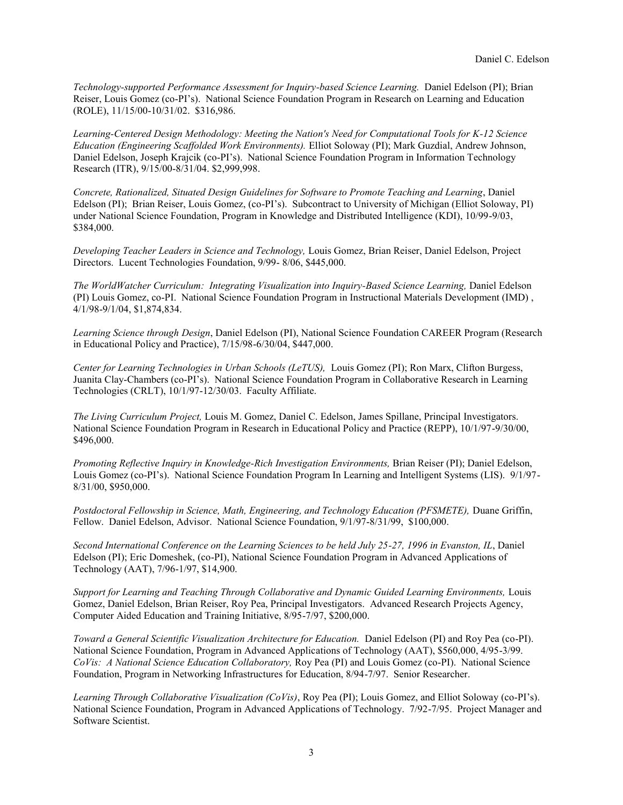*Technology-supported Performance Assessment for Inquiry-based Science Learning.* Daniel Edelson (PI); Brian Reiser, Louis Gomez (co-PI's). National Science Foundation Program in Research on Learning and Education (ROLE), 11/15/00-10/31/02. \$316,986.

*Learning-Centered Design Methodology: Meeting the Nation's Need for Computational Tools for K-12 Science Education (Engineering Scaffolded Work Environments).* Elliot Soloway (PI); Mark Guzdial, Andrew Johnson, Daniel Edelson, Joseph Krajcik (co-PI's). National Science Foundation Program in Information Technology Research (ITR), 9/15/00-8/31/04. \$2,999,998.

*Concrete, Rationalized, Situated Design Guidelines for Software to Promote Teaching and Learning*, Daniel Edelson (PI); Brian Reiser, Louis Gomez, (co-PI's). Subcontract to University of Michigan (Elliot Soloway, PI) under National Science Foundation, Program in Knowledge and Distributed Intelligence (KDI), 10/99-9/03, \$384,000.

*Developing Teacher Leaders in Science and Technology,* Louis Gomez, Brian Reiser, Daniel Edelson, Project Directors. Lucent Technologies Foundation, 9/99- 8/06, \$445,000.

*The WorldWatcher Curriculum: Integrating Visualization into Inquiry-Based Science Learning,* Daniel Edelson (PI) Louis Gomez, co-PI. National Science Foundation Program in Instructional Materials Development (IMD) , 4/1/98-9/1/04, \$1,874,834.

*Learning Science through Design*, Daniel Edelson (PI), National Science Foundation CAREER Program (Research in Educational Policy and Practice), 7/15/98-6/30/04, \$447,000.

*Center for Learning Technologies in Urban Schools (LeTUS),* Louis Gomez (PI); Ron Marx, Clifton Burgess, Juanita Clay-Chambers (co-PI's). National Science Foundation Program in Collaborative Research in Learning Technologies (CRLT), 10/1/97-12/30/03. Faculty Affiliate.

*The Living Curriculum Project,* Louis M. Gomez, Daniel C. Edelson, James Spillane, Principal Investigators. National Science Foundation Program in Research in Educational Policy and Practice (REPP), 10/1/97-9/30/00, \$496,000.

*Promoting Reflective Inquiry in Knowledge-Rich Investigation Environments,* Brian Reiser (PI); Daniel Edelson, Louis Gomez (co-PI's). National Science Foundation Program In Learning and Intelligent Systems (LIS). 9/1/97- 8/31/00, \$950,000.

*Postdoctoral Fellowship in Science, Math, Engineering, and Technology Education (PFSMETE),* Duane Griffin, Fellow. Daniel Edelson, Advisor. National Science Foundation, 9/1/97-8/31/99, \$100,000.

*Second International Conference on the Learning Sciences to be held July 25-27, 1996 in Evanston, IL*, Daniel Edelson (PI); Eric Domeshek, (co-PI), National Science Foundation Program in Advanced Applications of Technology (AAT), 7/96-1/97, \$14,900.

*Support for Learning and Teaching Through Collaborative and Dynamic Guided Learning Environments,* Louis Gomez, Daniel Edelson, Brian Reiser, Roy Pea, Principal Investigators. Advanced Research Projects Agency, Computer Aided Education and Training Initiative, 8/95-7/97, \$200,000.

*Toward a General Scientific Visualization Architecture for Education.* Daniel Edelson (PI) and Roy Pea (co-PI). National Science Foundation, Program in Advanced Applications of Technology (AAT), \$560,000, 4/95-3/99. *CoVis: A National Science Education Collaboratory,* Roy Pea (PI) and Louis Gomez (co-PI). National Science Foundation, Program in Networking Infrastructures for Education, 8/94-7/97. Senior Researcher.

*Learning Through Collaborative Visualization (CoVis)*, Roy Pea (PI); Louis Gomez, and Elliot Soloway (co-PI's). National Science Foundation, Program in Advanced Applications of Technology. 7/92-7/95. Project Manager and Software Scientist.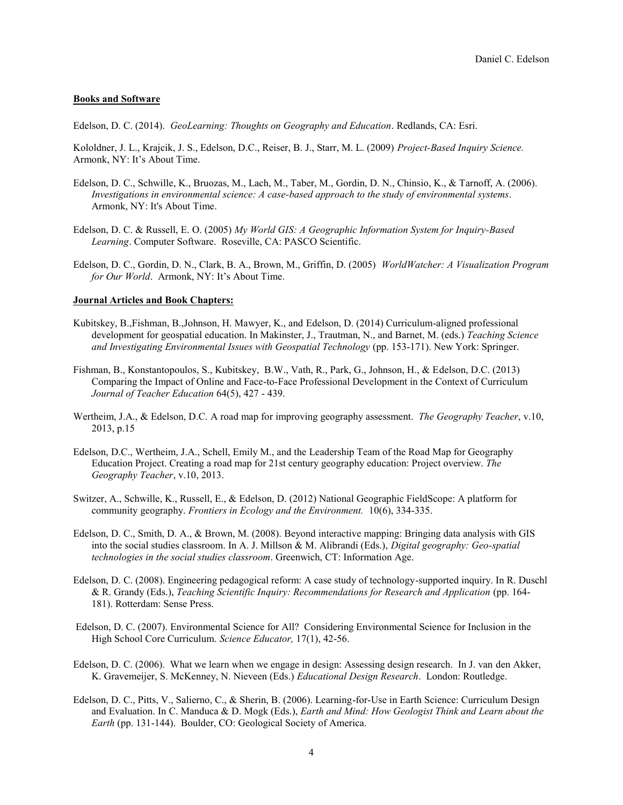#### **Books and Software**

Edelson, D. C. (2014). *GeoLearning: Thoughts on Geography and Education*. Redlands, CA: Esri.

Kololdner, J. L., Krajcik, J. S., Edelson, D.C., Reiser, B. J., Starr, M. L. (2009) *Project-Based Inquiry Science.*  Armonk, NY: It's About Time.

- Edelson, D. C., Schwille, K., Bruozas, M., Lach, M., Taber, M., Gordin, D. N., Chinsio, K., & Tarnoff, A. (2006). *Investigations in environmental science: A case-based approach to the study of environmental systems*. Armonk, NY: It's About Time.
- Edelson, D. C. & Russell, E. O. (2005) *My World GIS: A Geographic Information System for Inquiry-Based Learning*. Computer Software. Roseville, CA: PASCO Scientific.
- Edelson, D. C., Gordin, D. N., Clark, B. A., Brown, M., Griffin, D. (2005) *WorldWatcher: A Visualization Program for Our World*. Armonk, NY: It's About Time.

#### **Journal Articles and Book Chapters:**

- Kubitskey, B.,Fishman, B.,Johnson, H. Mawyer, K., and Edelson, D. (2014) Curriculum-aligned professional development for geospatial education. In Makinster, J., Trautman, N., and Barnet, M. (eds.) *Teaching Science and Investigating Environmental Issues with Geospatial Technology* (pp. 153-171). New York: Springer.
- Fishman, B., Konstantopoulos, S., Kubitskey, B.W., Vath, R., Park, G., Johnson, H., & Edelson, D.C. (2013) Comparing the Impact of Online and Face-to-Face Professional Development in the Context of Curriculum *Journal of Teacher Education* 64(5), 427 - 439.
- Wertheim, J.A., & Edelson, D.C. A road map for improving geography assessment. *The Geography Teacher*, v.10, 2013, p.15
- Edelson, D.C., Wertheim, J.A., Schell, Emily M., and the Leadership Team of the Road Map for Geography Education Project. Creating a road map for 21st century geography education: Project overview. *The Geography Teacher*, v.10, 2013.
- Switzer, A., Schwille, K., Russell, E., & Edelson, D. (2012) National Geographic FieldScope: A platform for community geography. *Frontiers in Ecology and the Environment.* 10(6), 334-335.
- Edelson, D. C., Smith, D. A., & Brown, M. (2008). Beyond interactive mapping: Bringing data analysis with GIS into the social studies classroom. In A. J. Millson & M. Alibrandi (Eds.), *Digital geography: Geo-spatial technologies in the social studies classroom*. Greenwich, CT: Information Age.
- Edelson, D. C. (2008). Engineering pedagogical reform: A case study of technology-supported inquiry. In R. Duschl & R. Grandy (Eds.), *Teaching Scientific Inquiry: Recommendations for Research and Application* (pp. 164- 181). Rotterdam: Sense Press.
- Edelson, D. C. (2007). Environmental Science for All? Considering Environmental Science for Inclusion in the High School Core Curriculum. *Science Educator,* 17(1), 42-56.
- Edelson, D. C. (2006). What we learn when we engage in design: Assessing design research. In J. van den Akker, K. Gravemeijer, S. McKenney, N. Nieveen (Eds.) *Educational Design Research*. London: Routledge.
- Edelson, D. C., Pitts, V., Salierno, C., & Sherin, B. (2006). Learning-for-Use in Earth Science: Curriculum Design and Evaluation. In C. Manduca & D. Mogk (Eds.), *Earth and Mind: How Geologist Think and Learn about the Earth* (pp. 131-144). Boulder, CO: Geological Society of America.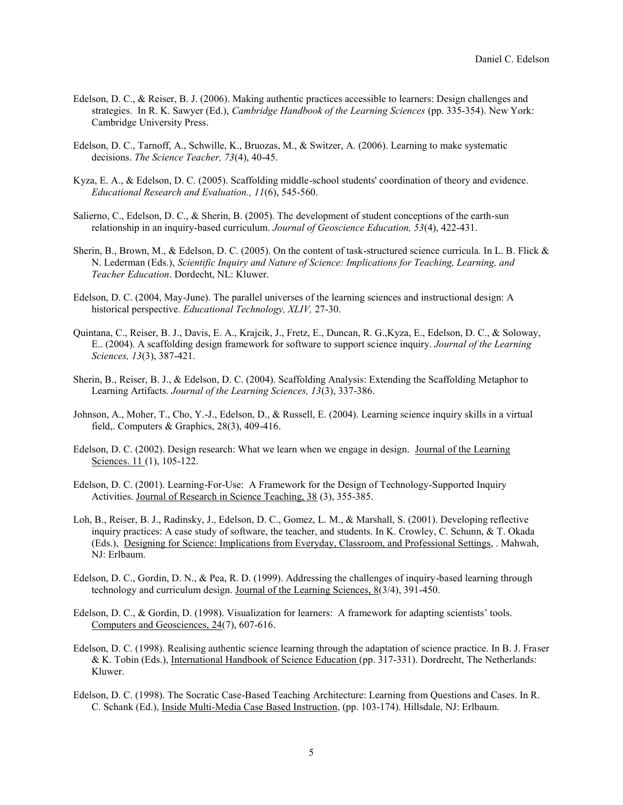- Edelson, D. C., & Reiser, B. J. (2006). Making authentic practices accessible to learners: Design challenges and strategies. In R. K. Sawyer (Ed.), *Cambridge Handbook of the Learning Sciences* (pp. 335-354). New York: Cambridge University Press.
- Edelson, D. C., Tarnoff, A., Schwille, K., Bruozas, M., & Switzer, A. (2006). Learning to make systematic decisions. *The Science Teacher, 73*(4), 40-45.
- Kyza, E. A., & Edelson, D. C. (2005). Scaffolding middle-school students' coordination of theory and evidence. *Educational Research and Evaluation., 11*(6), 545-560.
- Salierno, C., Edelson, D. C., & Sherin, B. (2005). The development of student conceptions of the earth-sun relationship in an inquiry-based curriculum. *Journal of Geoscience Education, 53*(4), 422-431.
- Sherin, B., Brown, M., & Edelson, D. C. (2005). On the content of task-structured science curricula. In L. B. Flick & N. Lederman (Eds.), *Scientific Inquiry and Nature of Science: Implications for Teaching, Learning, and Teacher Education*. Dordecht, NL: Kluwer.
- Edelson, D. C. (2004, May-June). The parallel universes of the learning sciences and instructional design: A historical perspective. *Educational Technology, XLIV,* 27-30.
- Quintana, C., Reiser, B. J., Davis, E. A., Krajcik, J., Fretz, E., Duncan, R. G.,Kyza, E., Edelson, D. C., & Soloway, E.. (2004). A scaffolding design framework for software to support science inquiry. *Journal of the Learning Sciences, 13*(3), 387-421.
- Sherin, B., Reiser, B. J., & Edelson, D. C. (2004). Scaffolding Analysis: Extending the Scaffolding Metaphor to Learning Artifacts. *Journal of the Learning Sciences, 13*(3), 337-386.
- Johnson, A., Moher, T., Cho, Y.-J., Edelson, D., & Russell, E. (2004). Learning science inquiry skills in a virtual field,. Computers & Graphics, 28(3), 409-416.
- Edelson, D. C. (2002). Design research: What we learn when we engage in design. Journal of the Learning Sciences. 11 (1), 105-122.
- Edelson, D. C. (2001). Learning-For-Use: A Framework for the Design of Technology-Supported Inquiry Activities. Journal of Research in Science Teaching, 38 (3), 355-385.
- Loh, B., Reiser, B. J., Radinsky, J., Edelson, D. C., Gomez, L. M., & Marshall, S. (2001). Developing reflective inquiry practices: A case study of software, the teacher, and students. In K. Crowley, C. Schunn, & T. Okada (Eds.), Designing for Science: Implications from Everyday, Classroom, and Professional Settings, . Mahwah, NJ: Erlbaum.
- Edelson, D. C., Gordin, D. N., & Pea, R. D. (1999). Addressing the challenges of inquiry-based learning through technology and curriculum design. Journal of the Learning Sciences, 8(3/4), 391-450.
- Edelson, D. C., & Gordin, D. (1998). Visualization for learners: A framework for adapting scientists' tools. Computers and Geosciences, 24(7), 607-616.
- Edelson, D. C. (1998). Realising authentic science learning through the adaptation of science practice. In B. J. Fraser & K. Tobin (Eds.), International Handbook of Science Education (pp. 317-331). Dordrecht, The Netherlands: Kluwer.
- Edelson, D. C. (1998). The Socratic Case-Based Teaching Architecture: Learning from Questions and Cases. In R. C. Schank (Ed.), Inside Multi-Media Case Based Instruction, (pp. 103-174). Hillsdale, NJ: Erlbaum.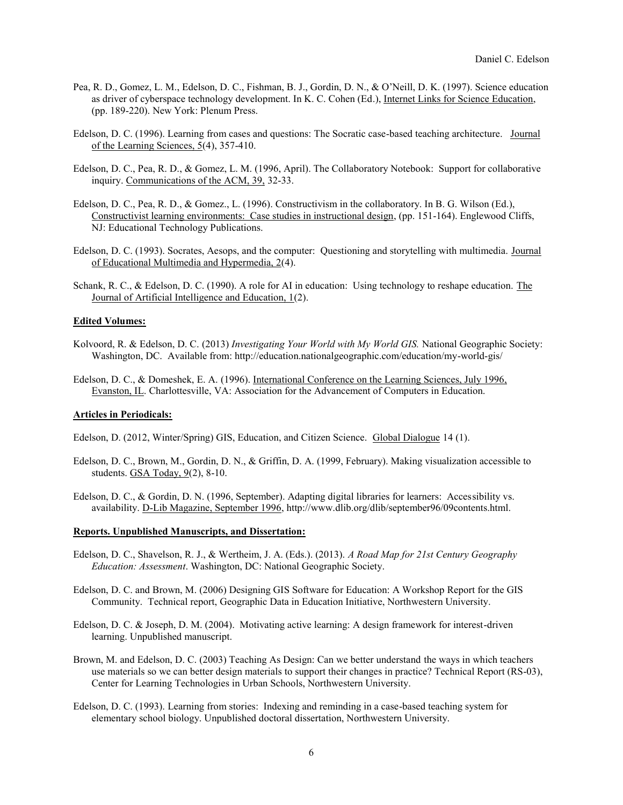- Pea, R. D., Gomez, L. M., Edelson, D. C., Fishman, B. J., Gordin, D. N., & O'Neill, D. K. (1997). Science education as driver of cyberspace technology development. In K. C. Cohen (Ed.), Internet Links for Science Education, (pp. 189-220). New York: Plenum Press.
- Edelson, D. C. (1996). Learning from cases and questions: The Socratic case-based teaching architecture. Journal of the Learning Sciences,  $\frac{5}{4}$ , 357-410.
- Edelson, D. C., Pea, R. D., & Gomez, L. M. (1996, April). The Collaboratory Notebook: Support for collaborative inquiry. Communications of the ACM, 39, 32-33.
- Edelson, D. C., Pea, R. D., & Gomez., L. (1996). Constructivism in the collaboratory. In B. G. Wilson (Ed.), Constructivist learning environments: Case studies in instructional design, (pp. 151-164). Englewood Cliffs, NJ: Educational Technology Publications.
- Edelson, D. C. (1993). Socrates, Aesops, and the computer: Questioning and storytelling with multimedia. Journal of Educational Multimedia and Hypermedia, 2(4).
- Schank, R. C., & Edelson, D. C. (1990). A role for AI in education: Using technology to reshape education. The Journal of Artificial Intelligence and Education, 1(2).

#### **Edited Volumes:**

- Kolvoord, R. & Edelson, D. C. (2013) *Investigating Your World with My World GIS.* National Geographic Society: Washington, DC. Available from: http://education.nationalgeographic.com/education/my-world-gis/
- Edelson, D. C., & Domeshek, E. A. (1996). International Conference on the Learning Sciences, July 1996, Evanston, IL. Charlottesville, VA: Association for the Advancement of Computers in Education.

## **Articles in Periodicals:**

Edelson, D. (2012, Winter/Spring) GIS, Education, and Citizen Science. Global Dialogue 14 (1).

- Edelson, D. C., Brown, M., Gordin, D. N., & Griffin, D. A. (1999, February). Making visualization accessible to students.  $GSA Today, 9(2), 8-10$ .
- Edelson, D. C., & Gordin, D. N. (1996, September). Adapting digital libraries for learners: Accessibility vs. availability. D-Lib Magazine, September 1996, http://www.dlib.org/dlib/september96/09contents.html.

#### **Reports. Unpublished Manuscripts, and Dissertation:**

- Edelson, D. C., Shavelson, R. J., & Wertheim, J. A. (Eds.). (2013). *A Road Map for 21st Century Geography Education: Assessment*. Washington, DC: National Geographic Society.
- Edelson, D. C. and Brown, M. (2006) Designing GIS Software for Education: A Workshop Report for the GIS Community. Technical report, Geographic Data in Education Initiative, Northwestern University.
- Edelson, D. C. & Joseph, D. M. (2004). Motivating active learning: A design framework for interest-driven learning. Unpublished manuscript.
- Brown, M. and Edelson, D. C. (2003) Teaching As Design: Can we better understand the ways in which teachers use materials so we can better design materials to support their changes in practice? Technical Report (RS-03), Center for Learning Technologies in Urban Schools, Northwestern University.
- Edelson, D. C. (1993). Learning from stories: Indexing and reminding in a case-based teaching system for elementary school biology. Unpublished doctoral dissertation, Northwestern University.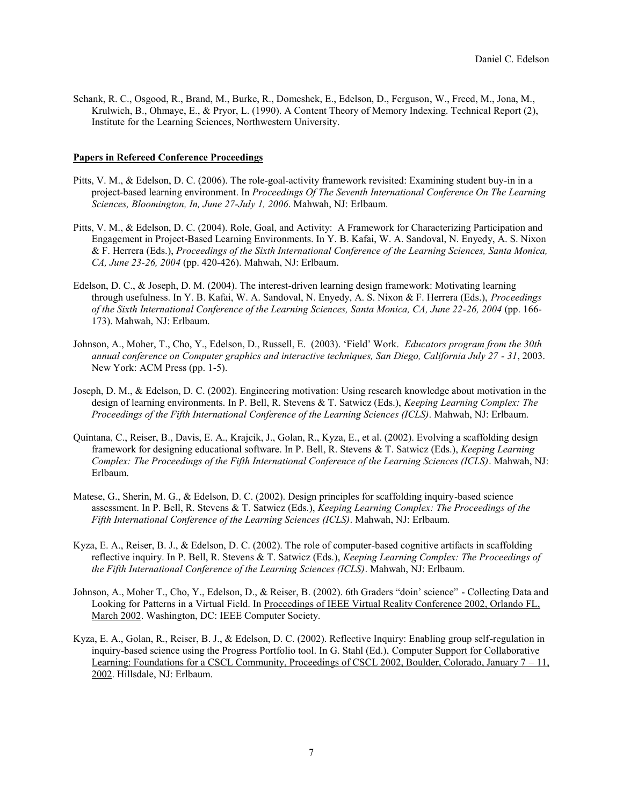Schank, R. C., Osgood, R., Brand, M., Burke, R., Domeshek, E., Edelson, D., Ferguson, W., Freed, M., Jona, M., Krulwich, B., Ohmaye, E., & Pryor, L. (1990). A Content Theory of Memory Indexing. Technical Report (2), Institute for the Learning Sciences, Northwestern University.

#### **Papers in Refereed Conference Proceedings**

- Pitts, V. M., & Edelson, D. C. (2006). The role-goal-activity framework revisited: Examining student buy-in in a project-based learning environment. In *Proceedings Of The Seventh International Conference On The Learning Sciences, Bloomington, In, June 27-July 1, 2006*. Mahwah, NJ: Erlbaum.
- Pitts, V. M., & Edelson, D. C. (2004). Role, Goal, and Activity: A Framework for Characterizing Participation and Engagement in Project-Based Learning Environments. In Y. B. Kafai, W. A. Sandoval, N. Enyedy, A. S. Nixon & F. Herrera (Eds.), *Proceedings of the Sixth International Conference of the Learning Sciences, Santa Monica, CA, June 23-26, 2004* (pp. 420-426). Mahwah, NJ: Erlbaum.
- Edelson, D. C., & Joseph, D. M. (2004). The interest-driven learning design framework: Motivating learning through usefulness. In Y. B. Kafai, W. A. Sandoval, N. Enyedy, A. S. Nixon & F. Herrera (Eds.), *Proceedings of the Sixth International Conference of the Learning Sciences, Santa Monica, CA, June 22-26, 2004* (pp. 166- 173). Mahwah, NJ: Erlbaum.
- Johnson, A., Moher, T., Cho, Y., Edelson, D., Russell, E. (2003). 'Field' Work. *Educators program from the 30th annual conference on Computer graphics and interactive techniques, San Diego, California July 27 - 31*, 2003. New York: ACM Press (pp. 1-5).
- Joseph, D. M., & Edelson, D. C. (2002). Engineering motivation: Using research knowledge about motivation in the design of learning environments. In P. Bell, R. Stevens & T. Satwicz (Eds.), *Keeping Learning Complex: The Proceedings of the Fifth International Conference of the Learning Sciences (ICLS)*. Mahwah, NJ: Erlbaum.
- Quintana, C., Reiser, B., Davis, E. A., Krajcik, J., Golan, R., Kyza, E., et al. (2002). Evolving a scaffolding design framework for designing educational software. In P. Bell, R. Stevens & T. Satwicz (Eds.), *Keeping Learning Complex: The Proceedings of the Fifth International Conference of the Learning Sciences (ICLS)*. Mahwah, NJ: Erlbaum.
- Matese, G., Sherin, M. G., & Edelson, D. C. (2002). Design principles for scaffolding inquiry-based science assessment. In P. Bell, R. Stevens & T. Satwicz (Eds.), *Keeping Learning Complex: The Proceedings of the Fifth International Conference of the Learning Sciences (ICLS)*. Mahwah, NJ: Erlbaum.
- Kyza, E. A., Reiser, B. J., & Edelson, D. C. (2002). The role of computer-based cognitive artifacts in scaffolding reflective inquiry. In P. Bell, R. Stevens & T. Satwicz (Eds.), *Keeping Learning Complex: The Proceedings of the Fifth International Conference of the Learning Sciences (ICLS)*. Mahwah, NJ: Erlbaum.
- Johnson, A., Moher T., Cho, Y., Edelson, D., & Reiser, B. (2002). 6th Graders "doin' science" Collecting Data and Looking for Patterns in a Virtual Field. In Proceedings of IEEE Virtual Reality Conference 2002, Orlando FL, March 2002. Washington, DC: IEEE Computer Society.
- Kyza, E. A., Golan, R., Reiser, B. J., & Edelson, D. C. (2002). Reflective Inquiry: Enabling group self-regulation in inquiry-based science using the Progress Portfolio tool. In G. Stahl (Ed.), Computer Support for Collaborative Learning: Foundations for a CSCL Community, Proceedings of CSCL 2002, Boulder, Colorado, January 7 – 11, 2002. Hillsdale, NJ: Erlbaum.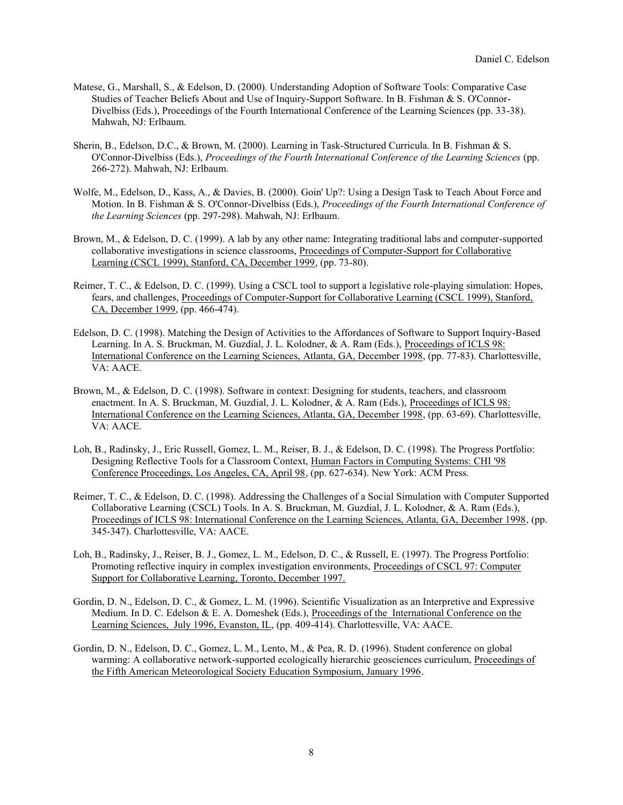- Matese, G., Marshall, S., & Edelson, D. (2000). Understanding Adoption of Software Tools: Comparative Case Studies of Teacher Beliefs About and Use of Inquiry-Support Software. In B. Fishman & S. O'Connor-Divelbiss (Eds.), Proceedings of the Fourth International Conference of the Learning Sciences (pp. 33-38). Mahwah, NJ: Erlbaum.
- Sherin, B., Edelson, D.C., & Brown, M. (2000). Learning in Task-Structured Curricula. In B. Fishman & S. O'Connor-Divelbiss (Eds.), *Proceedings of the Fourth International Conference of the Learning Sciences* (pp. 266-272). Mahwah, NJ: Erlbaum.
- Wolfe, M., Edelson, D., Kass, A., & Davies, B. (2000). Goin' Up?: Using a Design Task to Teach About Force and Motion. In B. Fishman & S. O'Connor-Divelbiss (Eds.), *Proceedings of the Fourth International Conference of the Learning Sciences* (pp. 297-298). Mahwah, NJ: Erlbaum.
- Brown, M., & Edelson, D. C. (1999). A lab by any other name: Integrating traditional labs and computer-supported collaborative investigations in science classrooms, Proceedings of Computer-Support for Collaborative Learning (CSCL 1999), Stanford, CA, December 1999, (pp. 73-80).
- Reimer, T. C., & Edelson, D. C. (1999). Using a CSCL tool to support a legislative role-playing simulation: Hopes, fears, and challenges, Proceedings of Computer-Support for Collaborative Learning (CSCL 1999), Stanford, CA, December 1999, (pp. 466-474).
- Edelson, D. C. (1998). Matching the Design of Activities to the Affordances of Software to Support Inquiry-Based Learning. In A. S. Bruckman, M. Guzdial, J. L. Kolodner, & A. Ram (Eds.), Proceedings of ICLS 98: International Conference on the Learning Sciences, Atlanta, GA, December 1998, (pp. 77-83). Charlottesville, VA: AACE.
- Brown, M., & Edelson, D. C. (1998). Software in context: Designing for students, teachers, and classroom enactment. In A. S. Bruckman, M. Guzdial, J. L. Kolodner, & A. Ram (Eds.), Proceedings of ICLS 98: International Conference on the Learning Sciences, Atlanta, GA, December 1998, (pp. 63-69). Charlottesville, VA: AACE.
- Loh, B., Radinsky, J., Eric Russell, Gomez, L. M., Reiser, B. J., & Edelson, D. C. (1998). The Progress Portfolio: Designing Reflective Tools for a Classroom Context, Human Factors in Computing Systems: CHI '98 Conference Proceedings, Los Angeles, CA, April 98, (pp. 627-634). New York: ACM Press.
- Reimer, T. C., & Edelson, D. C. (1998). Addressing the Challenges of a Social Simulation with Computer Supported Collaborative Learning (CSCL) Tools. In A. S. Bruckman, M. Guzdial, J. L. Kolodner, & A. Ram (Eds.), Proceedings of ICLS 98: International Conference on the Learning Sciences, Atlanta, GA, December 1998, (pp. 345-347). Charlottesville, VA: AACE.
- Loh, B., Radinsky, J., Reiser, B. J., Gomez, L. M., Edelson, D. C., & Russell, E. (1997). The Progress Portfolio: Promoting reflective inquiry in complex investigation environments, Proceedings of CSCL 97: Computer Support for Collaborative Learning, Toronto, December 1997.
- Gordin, D. N., Edelson, D. C., & Gomez, L. M. (1996). Scientific Visualization as an Interpretive and Expressive Medium. In D. C. Edelson  $&\&$  E. A. Domeshek (Eds.), Proceedings of the International Conference on the Learning Sciences, July 1996, Evanston, IL, (pp. 409-414). Charlottesville, VA: AACE.
- Gordin, D. N., Edelson, D. C., Gomez, L. M., Lento, M., & Pea, R. D. (1996). Student conference on global warming: A collaborative network-supported ecologically hierarchic geosciences curriculum, Proceedings of the Fifth American Meteorological Society Education Symposium, January 1996.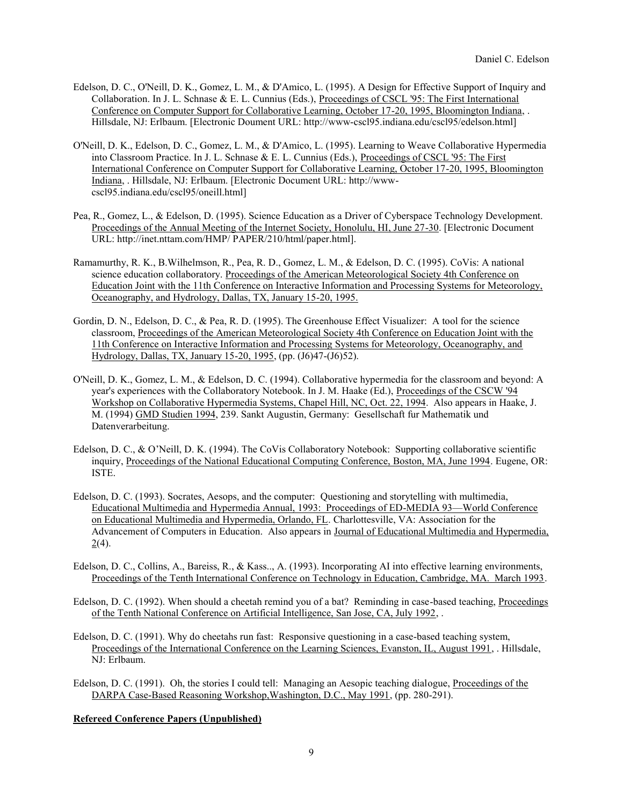- Edelson, D. C., O'Neill, D. K., Gomez, L. M., & D'Amico, L. (1995). A Design for Effective Support of Inquiry and Collaboration. In J. L. Schnase & E. L. Cunnius (Eds.), Proceedings of CSCL '95: The First International Conference on Computer Support for Collaborative Learning, October 17-20, 1995, Bloomington Indiana, . Hillsdale, NJ: Erlbaum. [Electronic Doument URL: http://www-cscl95.indiana.edu/cscl95/edelson.html]
- O'Neill, D. K., Edelson, D. C., Gomez, L. M., & D'Amico, L. (1995). Learning to Weave Collaborative Hypermedia into Classroom Practice. In J. L. Schnase & E. L. Cunnius (Eds.), Proceedings of CSCL '95: The First International Conference on Computer Support for Collaborative Learning, October 17-20, 1995, Bloomington Indiana, . Hillsdale, NJ: Erlbaum. [Electronic Document URL: http://wwwcscl95.indiana.edu/cscl95/oneill.html]
- Pea, R., Gomez, L., & Edelson, D. (1995). Science Education as a Driver of Cyberspace Technology Development. Proceedings of the Annual Meeting of the Internet Society, Honolulu, HI, June 27-30. [Electronic Document URL: http://inet.nttam.com/HMP/ PAPER/210/html/paper.html].
- Ramamurthy, R. K., B.Wilhelmson, R., Pea, R. D., Gomez, L. M., & Edelson, D. C. (1995). CoVis: A national science education collaboratory. Proceedings of the American Meteorological Society 4th Conference on Education Joint with the 11th Conference on Interactive Information and Processing Systems for Meteorology, Oceanography, and Hydrology, Dallas, TX, January 15-20, 1995.
- Gordin, D. N., Edelson, D. C., & Pea, R. D. (1995). The Greenhouse Effect Visualizer: A tool for the science classroom, Proceedings of the American Meteorological Society 4th Conference on Education Joint with the 11th Conference on Interactive Information and Processing Systems for Meteorology, Oceanography, and Hydrology, Dallas, TX, January 15-20, 1995, (pp. (J6)47-(J6)52).
- O'Neill, D. K., Gomez, L. M., & Edelson, D. C. (1994). Collaborative hypermedia for the classroom and beyond: A year's experiences with the Collaboratory Notebook. In J. M. Haake (Ed.), Proceedings of the CSCW '94 Workshop on Collaborative Hypermedia Systems, Chapel Hill, NC, Oct. 22, 1994. Also appears in Haake, J. M. (1994) GMD Studien 1994, 239. Sankt Augustin, Germany: Gesellschaft fur Mathematik und Datenverarbeitung.
- Edelson, D. C., & O'Neill, D. K. (1994). The CoVis Collaboratory Notebook: Supporting collaborative scientific inquiry, Proceedings of the National Educational Computing Conference, Boston, MA, June 1994. Eugene, OR: ISTE.
- Edelson, D. C. (1993). Socrates, Aesops, and the computer: Questioning and storytelling with multimedia, Educational Multimedia and Hypermedia Annual, 1993: Proceedings of ED-MEDIA 93—World Conference on Educational Multimedia and Hypermedia, Orlando, FL. Charlottesville, VA: Association for the Advancement of Computers in Education. Also appears in Journal of Educational Multimedia and Hypermedia,  $2(4)$ .
- Edelson, D. C., Collins, A., Bareiss, R., & Kass.., A. (1993). Incorporating AI into effective learning environments, Proceedings of the Tenth International Conference on Technology in Education, Cambridge, MA. March 1993.
- Edelson, D. C. (1992). When should a cheetah remind you of a bat? Reminding in case-based teaching, Proceedings of the Tenth National Conference on Artificial Intelligence, San Jose, CA, July 1992, .
- Edelson, D. C. (1991). Why do cheetahs run fast: Responsive questioning in a case-based teaching system, Proceedings of the International Conference on the Learning Sciences, Evanston, IL, August 1991, . Hillsdale, NJ: Erlbaum.
- Edelson, D. C. (1991). Oh, the stories I could tell: Managing an Aesopic teaching dialogue, Proceedings of the DARPA Case-Based Reasoning Workshop,Washington, D.C., May 1991, (pp. 280-291).

## **Refereed Conference Papers (Unpublished)**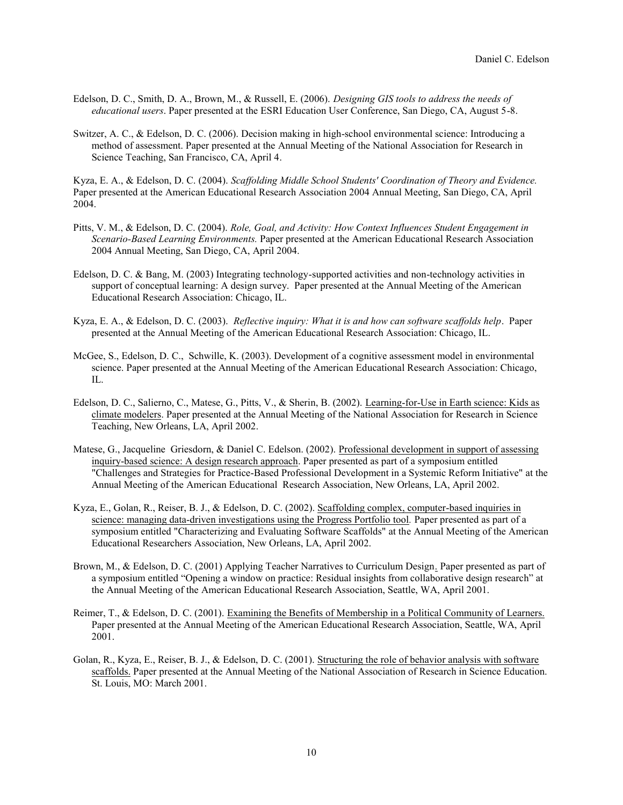- Edelson, D. C., Smith, D. A., Brown, M., & Russell, E. (2006). *Designing GIS tools to address the needs of educational users*. Paper presented at the ESRI Education User Conference, San Diego, CA, August 5-8.
- Switzer, A. C., & Edelson, D. C. (2006). Decision making in high-school environmental science: Introducing a method of assessment. Paper presented at the Annual Meeting of the National Association for Research in Science Teaching, San Francisco, CA, April 4.

Kyza, E. A., & Edelson, D. C. (2004). *Scaffolding Middle School Students' Coordination of Theory and Evidence.* Paper presented at the American Educational Research Association 2004 Annual Meeting, San Diego, CA, April 2004.

- Pitts, V. M., & Edelson, D. C. (2004). *Role, Goal, and Activity: How Context Influences Student Engagement in Scenario-Based Learning Environments.* Paper presented at the American Educational Research Association 2004 Annual Meeting, San Diego, CA, April 2004.
- Edelson, D. C. & Bang, M. (2003) Integrating technology-supported activities and non-technology activities in support of conceptual learning: A design survey. Paper presented at the Annual Meeting of the American Educational Research Association: Chicago, IL.
- Kyza, E. A., & Edelson, D. C. (2003). *Reflective inquiry: What it is and how can software scaffolds help*. Paper presented at the Annual Meeting of the American Educational Research Association: Chicago, IL.
- McGee, S., Edelson, D. C., Schwille, K. (2003). Development of a cognitive assessment model in environmental science. Paper presented at the Annual Meeting of the American Educational Research Association: Chicago, IL.
- Edelson, D. C., Salierno, C., Matese, G., Pitts, V., & Sherin, B. (2002). Learning-for-Use in Earth science: Kids as climate modelers. Paper presented at the Annual Meeting of the National Association for Research in Science Teaching, New Orleans, LA, April 2002.
- Matese, G., Jacqueline Griesdorn, & Daniel C. Edelson. (2002). Professional development in support of assessing inquiry-based science: A design research approach. Paper presented as part of a symposium entitled "Challenges and Strategies for Practice-Based Professional Development in a Systemic Reform Initiative" at the Annual Meeting of the American Educational Research Association, New Orleans, LA, April 2002.
- Kyza, E., Golan, R., Reiser, B. J., & Edelson, D. C. (2002). Scaffolding complex, computer-based inquiries in science: managing data-driven investigations using the Progress Portfolio tool*.* Paper presented as part of a symposium entitled "Characterizing and Evaluating Software Scaffolds" at the Annual Meeting of the American Educational Researchers Association, New Orleans, LA, April 2002.
- Brown, M., & Edelson, D. C. (2001) Applying Teacher Narratives to Curriculum Design. Paper presented as part of a symposium entitled "Opening a window on practice: Residual insights from collaborative design research" at the Annual Meeting of the American Educational Research Association, Seattle, WA, April 2001.
- Reimer, T., & Edelson, D. C. (2001). Examining the Benefits of Membership in a Political Community of Learners. Paper presented at the Annual Meeting of the American Educational Research Association, Seattle, WA, April 2001.
- Golan, R., Kyza, E., Reiser, B. J., & Edelson, D. C. (2001). Structuring the role of behavior analysis with software scaffolds. Paper presented at the Annual Meeting of the National Association of Research in Science Education. St. Louis, MO: March 2001.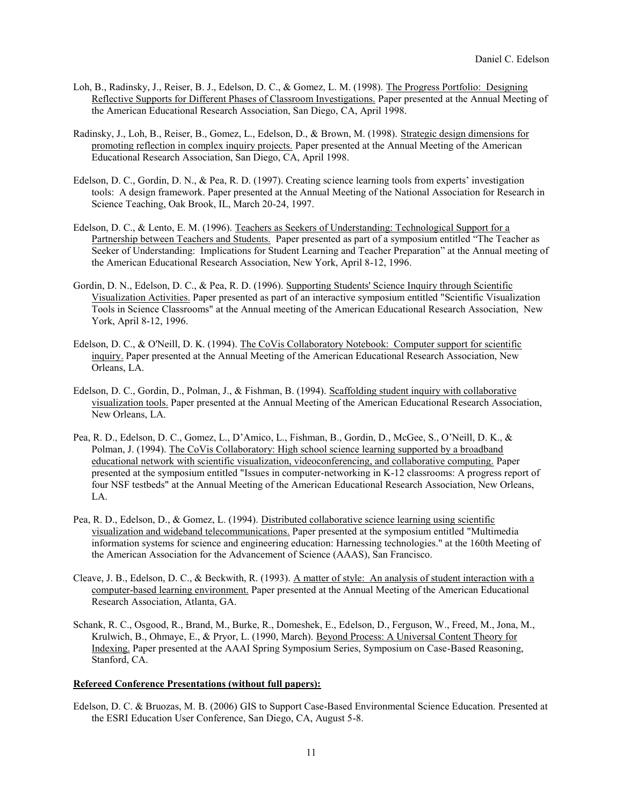- Loh, B., Radinsky, J., Reiser, B. J., Edelson, D. C., & Gomez, L. M. (1998). The Progress Portfolio: Designing Reflective Supports for Different Phases of Classroom Investigations. Paper presented at the Annual Meeting of the American Educational Research Association, San Diego, CA, April 1998.
- Radinsky, J., Loh, B., Reiser, B., Gomez, L., Edelson, D., & Brown, M. (1998). Strategic design dimensions for promoting reflection in complex inquiry projects. Paper presented at the Annual Meeting of the American Educational Research Association, San Diego, CA, April 1998.
- Edelson, D. C., Gordin, D. N., & Pea, R. D. (1997). Creating science learning tools from experts' investigation tools: A design framework. Paper presented at the Annual Meeting of the National Association for Research in Science Teaching, Oak Brook, IL, March 20-24, 1997.
- Edelson, D. C., & Lento, E. M. (1996). Teachers as Seekers of Understanding: Technological Support for a Partnership between Teachers and Students. Paper presented as part of a symposium entitled "The Teacher as Seeker of Understanding: Implications for Student Learning and Teacher Preparation" at the Annual meeting of the American Educational Research Association, New York, April 8-12, 1996.
- Gordin, D. N., Edelson, D. C., & Pea, R. D. (1996). Supporting Students' Science Inquiry through Scientific Visualization Activities. Paper presented as part of an interactive symposium entitled "Scientific Visualization Tools in Science Classrooms" at the Annual meeting of the American Educational Research Association, New York, April 8-12, 1996.
- Edelson, D. C., & O'Neill, D. K. (1994). The CoVis Collaboratory Notebook: Computer support for scientific inquiry. Paper presented at the Annual Meeting of the American Educational Research Association, New Orleans, LA.
- Edelson, D. C., Gordin, D., Polman, J., & Fishman, B. (1994). Scaffolding student inquiry with collaborative visualization tools. Paper presented at the Annual Meeting of the American Educational Research Association, New Orleans, LA.
- Pea, R. D., Edelson, D. C., Gomez, L., D'Amico, L., Fishman, B., Gordin, D., McGee, S., O'Neill, D. K., & Polman, J. (1994). The CoVis Collaboratory: High school science learning supported by a broadband educational network with scientific visualization, videoconferencing, and collaborative computing. Paper presented at the symposium entitled "Issues in computer-networking in K-12 classrooms: A progress report of four NSF testbeds" at the Annual Meeting of the American Educational Research Association, New Orleans, LA.
- Pea, R. D., Edelson, D., & Gomez, L. (1994). Distributed collaborative science learning using scientific visualization and wideband telecommunications. Paper presented at the symposium entitled "Multimedia information systems for science and engineering education: Harnessing technologies." at the 160th Meeting of the American Association for the Advancement of Science (AAAS), San Francisco.
- Cleave, J. B., Edelson, D. C., & Beckwith, R. (1993). A matter of style: An analysis of student interaction with a computer-based learning environment. Paper presented at the Annual Meeting of the American Educational Research Association, Atlanta, GA.
- Schank, R. C., Osgood, R., Brand, M., Burke, R., Domeshek, E., Edelson, D., Ferguson, W., Freed, M., Jona, M., Krulwich, B., Ohmaye, E., & Pryor, L. (1990, March). Beyond Process: A Universal Content Theory for Indexing. Paper presented at the AAAI Spring Symposium Series, Symposium on Case-Based Reasoning, Stanford, CA.

## **Refereed Conference Presentations (without full papers):**

Edelson, D. C. & Bruozas, M. B. (2006) GIS to Support Case-Based Environmental Science Education. Presented at the ESRI Education User Conference, San Diego, CA, August 5-8.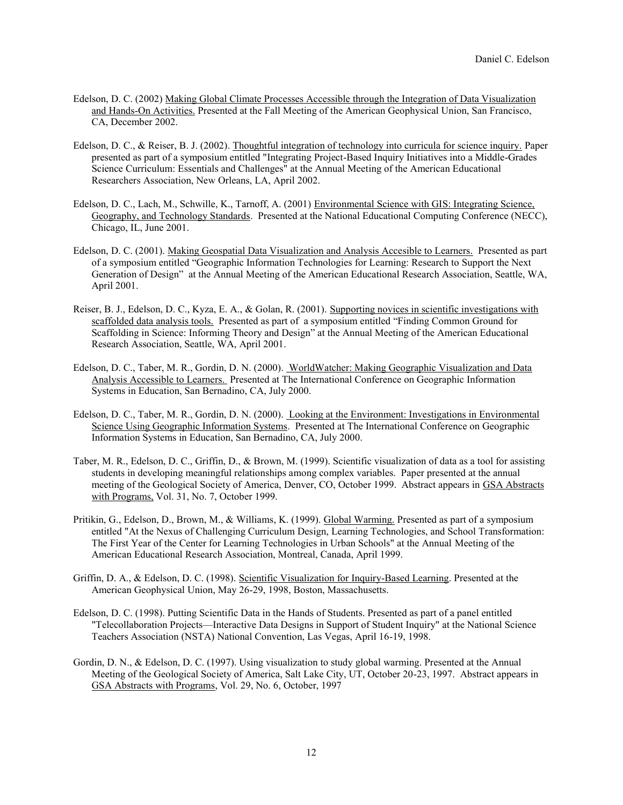- Edelson, D. C. (2002) Making Global Climate Processes Accessible through the Integration of Data Visualization and Hands-On Activities. Presented at the Fall Meeting of the American Geophysical Union, San Francisco, CA, December 2002.
- Edelson, D. C., & Reiser, B. J. (2002). Thoughtful integration of technology into curricula for science inquiry. Paper presented as part of a symposium entitled "Integrating Project-Based Inquiry Initiatives into a Middle-Grades Science Curriculum: Essentials and Challenges" at the Annual Meeting of the American Educational Researchers Association, New Orleans, LA, April 2002.
- Edelson, D. C., Lach, M., Schwille, K., Tarnoff, A. (2001) Environmental Science with GIS: Integrating Science, Geography, and Technology Standards. Presented at the National Educational Computing Conference (NECC), Chicago, IL, June 2001.
- Edelson, D. C. (2001). Making Geospatial Data Visualization and Analysis Accesible to Learners. Presented as part of a symposium entitled "Geographic Information Technologies for Learning: Research to Support the Next Generation of Design" at the Annual Meeting of the American Educational Research Association, Seattle, WA, April 2001.
- Reiser, B. J., Edelson, D. C., Kyza, E. A., & Golan, R. (2001). Supporting novices in scientific investigations with scaffolded data analysis tools. Presented as part of a symposium entitled "Finding Common Ground for Scaffolding in Science: Informing Theory and Design" at the Annual Meeting of the American Educational Research Association, Seattle, WA, April 2001.
- Edelson, D. C., Taber, M. R., Gordin, D. N. (2000). WorldWatcher: Making Geographic Visualization and Data Analysis Accessible to Learners. Presented at The International Conference on Geographic Information Systems in Education, San Bernadino, CA, July 2000.
- Edelson, D. C., Taber, M. R., Gordin, D. N. (2000). Looking at the Environment: Investigations in Environmental Science Using Geographic Information Systems. Presented at The International Conference on Geographic Information Systems in Education, San Bernadino, CA, July 2000.
- Taber, M. R., Edelson, D. C., Griffin, D., & Brown, M. (1999). Scientific visualization of data as a tool for assisting students in developing meaningful relationships among complex variables. Paper presented at the annual meeting of the Geological Society of America, Denver, CO, October 1999. Abstract appears in GSA Abstracts with Programs, Vol. 31, No. 7, October 1999.
- Pritikin, G., Edelson, D., Brown, M., & Williams, K. (1999). Global Warming. Presented as part of a symposium entitled "At the Nexus of Challenging Curriculum Design, Learning Technologies, and School Transformation: The First Year of the Center for Learning Technologies in Urban Schools" at the Annual Meeting of the American Educational Research Association, Montreal, Canada, April 1999.
- Griffin, D. A., & Edelson, D. C. (1998). Scientific Visualization for Inquiry-Based Learning. Presented at the American Geophysical Union, May 26-29, 1998, Boston, Massachusetts.
- Edelson, D. C. (1998). Putting Scientific Data in the Hands of Students. Presented as part of a panel entitled "Telecollaboration Projects—Interactive Data Designs in Support of Student Inquiry" at the National Science Teachers Association (NSTA) National Convention, Las Vegas, April 16-19, 1998.
- Gordin, D. N., & Edelson, D. C. (1997). Using visualization to study global warming. Presented at the Annual Meeting of the Geological Society of America, Salt Lake City, UT, October 20-23, 1997. Abstract appears in GSA Abstracts with Programs, Vol. 29, No. 6, October, 1997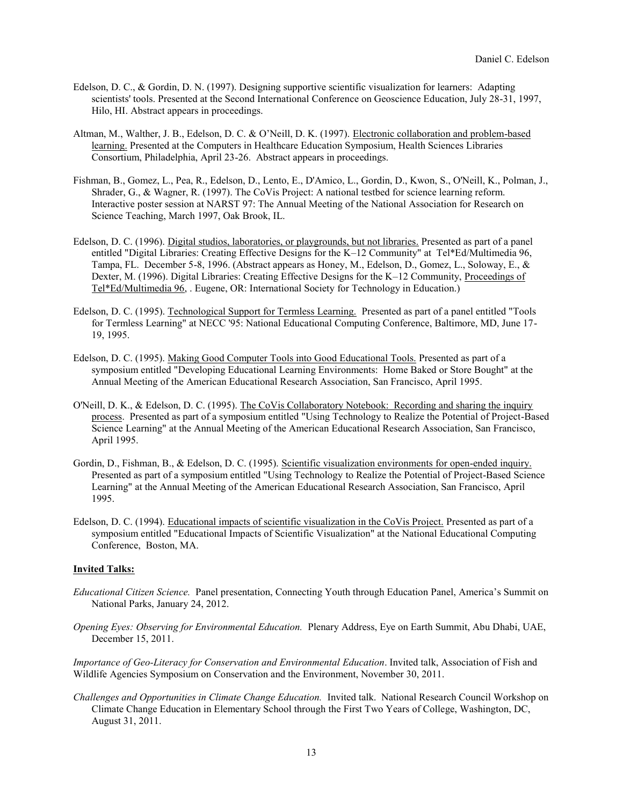- Edelson, D. C., & Gordin, D. N. (1997). Designing supportive scientific visualization for learners: Adapting scientists' tools. Presented at the Second International Conference on Geoscience Education, July 28-31, 1997, Hilo, HI. Abstract appears in proceedings.
- Altman, M., Walther, J. B., Edelson, D. C. & O'Neill, D. K. (1997). Electronic collaboration and problem-based learning. Presented at the Computers in Healthcare Education Symposium, Health Sciences Libraries Consortium, Philadelphia, April 23-26. Abstract appears in proceedings.
- Fishman, B., Gomez, L., Pea, R., Edelson, D., Lento, E., D'Amico, L., Gordin, D., Kwon, S., O'Neill, K., Polman, J., Shrader, G., & Wagner, R. (1997). The CoVis Project: A national testbed for science learning reform. Interactive poster session at NARST 97: The Annual Meeting of the National Association for Research on Science Teaching, March 1997, Oak Brook, IL.
- Edelson, D. C. (1996). Digital studios, laboratories, or playgrounds, but not libraries. Presented as part of a panel entitled "Digital Libraries: Creating Effective Designs for the K–12 Community" at Tel\*Ed/Multimedia 96, Tampa, FL. December 5-8, 1996. (Abstract appears as Honey, M., Edelson, D., Gomez, L., Soloway, E., & Dexter, M. (1996). Digital Libraries: Creating Effective Designs for the K–12 Community, Proceedings of Tel\*Ed/Multimedia 96, . Eugene, OR: International Society for Technology in Education.)
- Edelson, D. C. (1995). Technological Support for Termless Learning. Presented as part of a panel entitled "Tools for Termless Learning" at NECC '95: National Educational Computing Conference, Baltimore, MD, June 17- 19, 1995.
- Edelson, D. C. (1995). Making Good Computer Tools into Good Educational Tools. Presented as part of a symposium entitled "Developing Educational Learning Environments: Home Baked or Store Bought" at the Annual Meeting of the American Educational Research Association, San Francisco, April 1995.
- O'Neill, D. K., & Edelson, D. C. (1995). The CoVis Collaboratory Notebook: Recording and sharing the inquiry process. Presented as part of a symposium entitled "Using Technology to Realize the Potential of Project-Based Science Learning" at the Annual Meeting of the American Educational Research Association, San Francisco, April 1995.
- Gordin, D., Fishman, B., & Edelson, D. C. (1995). Scientific visualization environments for open-ended inquiry. Presented as part of a symposium entitled "Using Technology to Realize the Potential of Project-Based Science Learning" at the Annual Meeting of the American Educational Research Association, San Francisco, April 1995.
- Edelson, D. C. (1994). Educational impacts of scientific visualization in the CoVis Project. Presented as part of a symposium entitled "Educational Impacts of Scientific Visualization" at the National Educational Computing Conference, Boston, MA.

## **Invited Talks:**

- *Educational Citizen Science.* Panel presentation, Connecting Youth through Education Panel, America's Summit on National Parks, January 24, 2012.
- *Opening Eyes: Observing for Environmental Education.* Plenary Address, Eye on Earth Summit, Abu Dhabi, UAE, December 15, 2011.

*Importance of Geo-Literacy for Conservation and Environmental Education*. Invited talk, Association of Fish and Wildlife Agencies Symposium on Conservation and the Environment, November 30, 2011.

*Challenges and Opportunities in Climate Change Education.* Invited talk. National Research Council Workshop on Climate Change Education in Elementary School through the First Two Years of College, Washington, DC, August 31, 2011.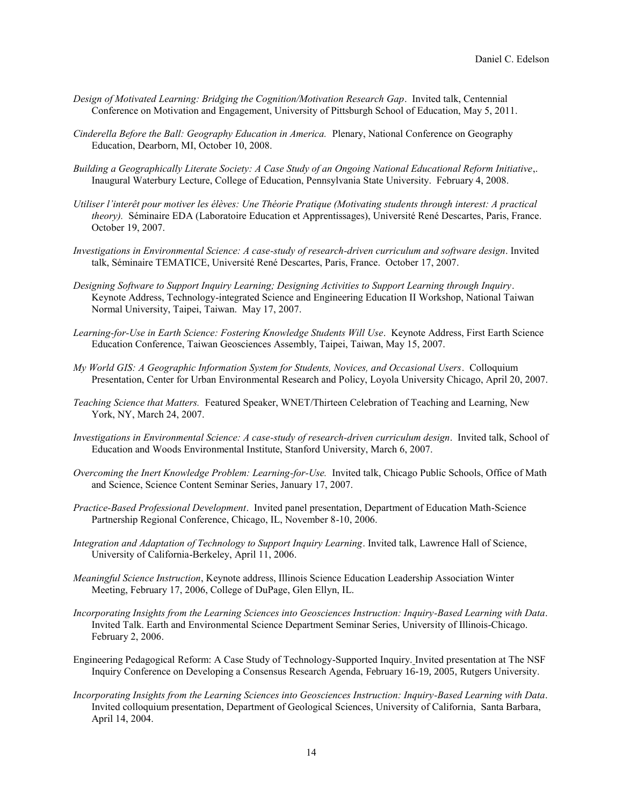- *Design of Motivated Learning: Bridging the Cognition/Motivation Research Gap*. Invited talk, Centennial Conference on Motivation and Engagement, University of Pittsburgh School of Education, May 5, 2011.
- *Cinderella Before the Ball: Geography Education in America.* Plenary, National Conference on Geography Education, Dearborn, MI, October 10, 2008.
- *Building a Geographically Literate Society: A Case Study of an Ongoing National Educational Reform Initiative*,. Inaugural Waterbury Lecture, College of Education, Pennsylvania State University. February 4, 2008.
- *Utiliser l'interêt pour motiver les élèves: Une Théorie Pratique (Motivating students through interest: A practical theory).* Séminaire EDA (Laboratoire Education et Apprentissages), Université René Descartes, Paris, France. October 19, 2007.
- *Investigations in Environmental Science: A case-study of research-driven curriculum and software design*. Invited talk, Séminaire TEMATICE, Université René Descartes, Paris, France. October 17, 2007.
- *Designing Software to Support Inquiry Learning; Designing Activities to Support Learning through Inquiry*. Keynote Address, Technology-integrated Science and Engineering Education II Workshop, National Taiwan Normal University, Taipei, Taiwan. May 17, 2007.
- *Learning-for-Use in Earth Science: Fostering Knowledge Students Will Use*. Keynote Address, First Earth Science Education Conference, Taiwan Geosciences Assembly, Taipei, Taiwan, May 15, 2007.
- *My World GIS: A Geographic Information System for Students, Novices, and Occasional Users*. Colloquium Presentation, Center for Urban Environmental Research and Policy, Loyola University Chicago, April 20, 2007.
- *Teaching Science that Matters.* Featured Speaker, WNET/Thirteen Celebration of Teaching and Learning, New York, NY, March 24, 2007.
- *Investigations in Environmental Science: A case-study of research-driven curriculum design*. Invited talk, School of Education and Woods Environmental Institute, Stanford University, March 6, 2007.
- *Overcoming the Inert Knowledge Problem: Learning-for-Use.* Invited talk, Chicago Public Schools, Office of Math and Science, Science Content Seminar Series, January 17, 2007.
- *Practice-Based Professional Development*. Invited panel presentation, Department of Education Math-Science Partnership Regional Conference, Chicago, IL, November 8-10, 2006.
- *Integration and Adaptation of Technology to Support Inquiry Learning*. Invited talk, Lawrence Hall of Science, University of California-Berkeley, April 11, 2006.
- *Meaningful Science Instruction*, Keynote address, Illinois Science Education Leadership Association Winter Meeting, February 17, 2006, College of DuPage, Glen Ellyn, IL.
- *Incorporating Insights from the Learning Sciences into Geosciences Instruction: Inquiry-Based Learning with Data*. Invited Talk. Earth and Environmental Science Department Seminar Series, University of Illinois-Chicago. February 2, 2006.
- Engineering Pedagogical Reform: A Case Study of Technology-Supported Inquiry. Invited presentation at The NSF Inquiry Conference on Developing a Consensus Research Agenda, February 16-19, 2005, Rutgers University.
- *Incorporating Insights from the Learning Sciences into Geosciences Instruction: Inquiry-Based Learning with Data*. Invited colloquium presentation, Department of Geological Sciences, University of California, Santa Barbara, April 14, 2004.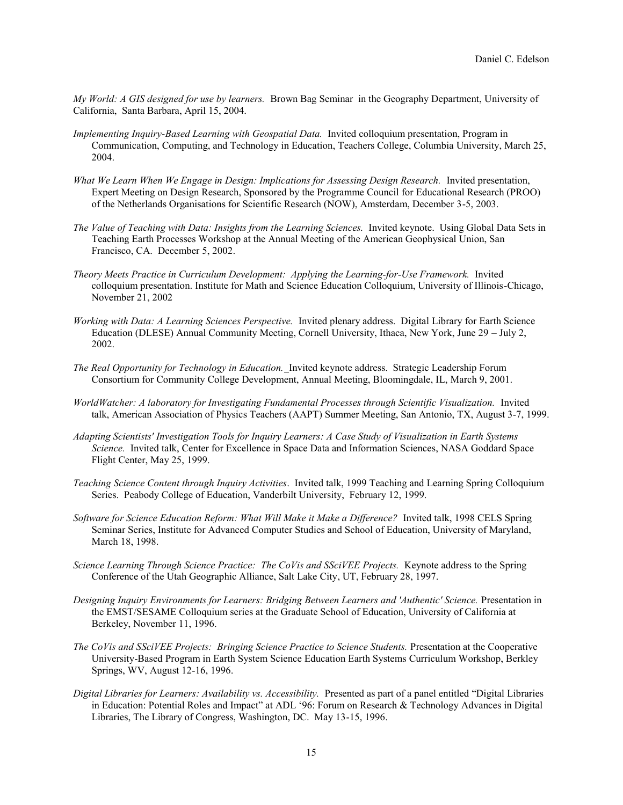*My World: A GIS designed for use by learners.* Brown Bag Seminar in the Geography Department, University of California, Santa Barbara, April 15, 2004.

- *Implementing Inquiry-Based Learning with Geospatial Data.* Invited colloquium presentation, Program in Communication, Computing, and Technology in Education, Teachers College, Columbia University, March 25, 2004.
- *What We Learn When We Engage in Design: Implications for Assessing Design Research.* Invited presentation, Expert Meeting on Design Research, Sponsored by the Programme Council for Educational Research (PROO) of the Netherlands Organisations for Scientific Research (NOW), Amsterdam, December 3-5, 2003.
- *The Value of Teaching with Data: Insights from the Learning Sciences.* Invited keynote. Using Global Data Sets in Teaching Earth Processes Workshop at the Annual Meeting of the American Geophysical Union, San Francisco, CA. December 5, 2002.
- *Theory Meets Practice in Curriculum Development: Applying the Learning-for-Use Framework.* Invited colloquium presentation. Institute for Math and Science Education Colloquium, University of Illinois-Chicago, November 21, 2002
- *Working with Data: A Learning Sciences Perspective.* Invited plenary address. Digital Library for Earth Science Education (DLESE) Annual Community Meeting, Cornell University, Ithaca, New York, June 29 – July 2, 2002.
- *The Real Opportunity for Technology in Education.* Invited keynote address. Strategic Leadership Forum Consortium for Community College Development, Annual Meeting, Bloomingdale, IL, March 9, 2001.
- *WorldWatcher: A laboratory for Investigating Fundamental Processes through Scientific Visualization.* Invited talk, American Association of Physics Teachers (AAPT) Summer Meeting, San Antonio, TX, August 3-7, 1999.
- *Adapting Scientists' Investigation Tools for Inquiry Learners: A Case Study of Visualization in Earth Systems Science.* Invited talk, Center for Excellence in Space Data and Information Sciences, NASA Goddard Space Flight Center, May 25, 1999.
- *Teaching Science Content through Inquiry Activities*. Invited talk, 1999 Teaching and Learning Spring Colloquium Series. Peabody College of Education, Vanderbilt University, February 12, 1999.
- *Software for Science Education Reform: What Will Make it Make a Difference?* Invited talk, 1998 CELS Spring Seminar Series, Institute for Advanced Computer Studies and School of Education, University of Maryland, March 18, 1998.
- Science Learning Through Science Practice: The CoVis and SSciVEE Projects. Keynote address to the Spring Conference of the Utah Geographic Alliance, Salt Lake City, UT, February 28, 1997.
- *Designing Inquiry Environments for Learners: Bridging Between Learners and 'Authentic' Science.* Presentation in the EMST/SESAME Colloquium series at the Graduate School of Education, University of California at Berkeley, November 11, 1996.
- *The CoVis and SSciVEE Projects: Bringing Science Practice to Science Students.* Presentation at the Cooperative University-Based Program in Earth System Science Education Earth Systems Curriculum Workshop, Berkley Springs, WV, August 12-16, 1996.
- *Digital Libraries for Learners: Availability vs. Accessibility.* Presented as part of a panel entitled "Digital Libraries in Education: Potential Roles and Impact" at ADL '96: Forum on Research & Technology Advances in Digital Libraries, The Library of Congress, Washington, DC. May 13-15, 1996.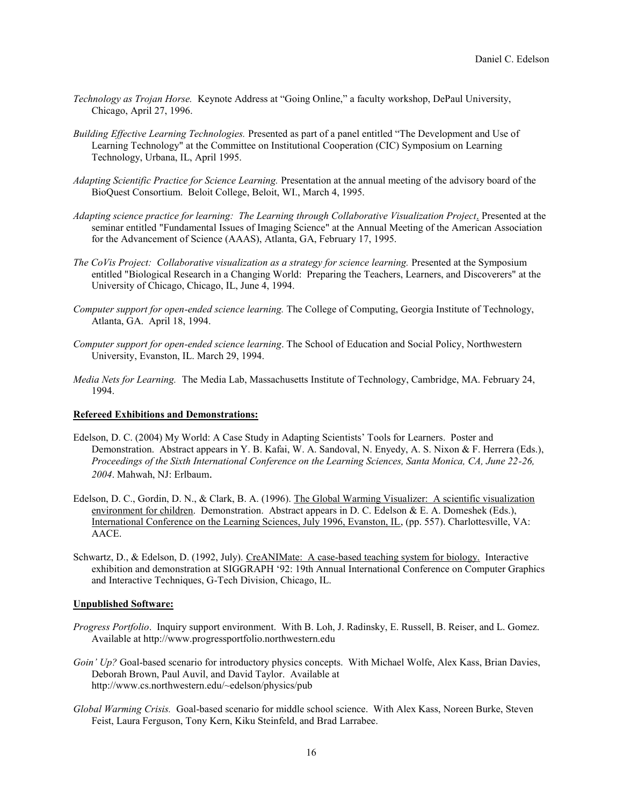- *Technology as Trojan Horse.* Keynote Address at "Going Online," a faculty workshop, DePaul University, Chicago, April 27, 1996.
- *Building Effective Learning Technologies.* Presented as part of a panel entitled "The Development and Use of Learning Technology" at the Committee on Institutional Cooperation (CIC) Symposium on Learning Technology, Urbana, IL, April 1995.
- *Adapting Scientific Practice for Science Learning.* Presentation at the annual meeting of the advisory board of the BioQuest Consortium. Beloit College, Beloit, WI., March 4, 1995.
- *Adapting science practice for learning: The Learning through Collaborative Visualization Project*. Presented at the seminar entitled "Fundamental Issues of Imaging Science" at the Annual Meeting of the American Association for the Advancement of Science (AAAS), Atlanta, GA, February 17, 1995.
- *The CoVis Project: Collaborative visualization as a strategy for science learning.* Presented at the Symposium entitled "Biological Research in a Changing World: Preparing the Teachers, Learners, and Discoverers" at the University of Chicago, Chicago, IL, June 4, 1994.
- *Computer support for open-ended science learning.* The College of Computing, Georgia Institute of Technology, Atlanta, GA. April 18, 1994.
- *Computer support for open-ended science learning*. The School of Education and Social Policy, Northwestern University, Evanston, IL. March 29, 1994.
- *Media Nets for Learning.* The Media Lab, Massachusetts Institute of Technology, Cambridge, MA. February 24, 1994.

### **Refereed Exhibitions and Demonstrations:**

- Edelson, D. C. (2004) My World: A Case Study in Adapting Scientists' Tools for Learners. Poster and Demonstration. Abstract appears in Y. B. Kafai, W. A. Sandoval, N. Enyedy, A. S. Nixon & F. Herrera (Eds.), *Proceedings of the Sixth International Conference on the Learning Sciences, Santa Monica, CA, June 22-26, 2004*. Mahwah, NJ: Erlbaum.
- Edelson, D. C., Gordin, D. N., & Clark, B. A. (1996). The Global Warming Visualizer: A scientific visualization environment for children. Demonstration. Abstract appears in D. C. Edelson & E. A. Domeshek (Eds.), International Conference on the Learning Sciences, July 1996, Evanston, IL, (pp. 557). Charlottesville, VA: AACE.
- Schwartz, D., & Edelson, D. (1992, July). CreANIMate: A case-based teaching system for biology. Interactive exhibition and demonstration at SIGGRAPH '92: 19th Annual International Conference on Computer Graphics and Interactive Techniques, G-Tech Division, Chicago, IL.

### **Unpublished Software:**

- *Progress Portfolio*. Inquiry support environment. With B. Loh, J. Radinsky, E. Russell, B. Reiser, and L. Gomez. Available at http://www.progressportfolio.northwestern.edu
- *Goin' Up?* Goal-based scenario for introductory physics concepts. With Michael Wolfe, Alex Kass, Brian Davies, Deborah Brown, Paul Auvil, and David Taylor. Available at http://www.cs.northwestern.edu/~edelson/physics/pub
- *Global Warming Crisis.* Goal-based scenario for middle school science. With Alex Kass, Noreen Burke, Steven Feist, Laura Ferguson, Tony Kern, Kiku Steinfeld, and Brad Larrabee.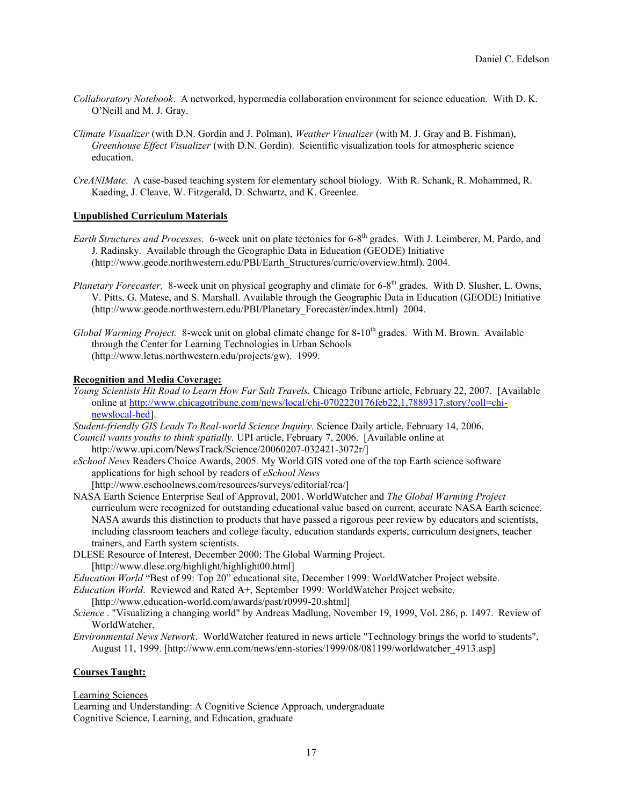- *Collaboratory Notebook*. A networked, hypermedia collaboration environment for science education. With D. K. O'Neill and M. J. Gray.
- *Climate Visualizer* (with D.N. Gordin and J. Polman), *Weather Visualizer* (with M. J. Gray and B. Fishman), *Greenhouse Effect Visualizer* (with D.N. Gordin). Scientific visualization tools for atmospheric science education.
- *CreANIMate*. A case-based teaching system for elementary school biology. With R. Schank, R. Mohammed, R. Kaeding, J. Cleave, W. Fitzgerald, D. Schwartz, and K. Greenlee.

## **Unpublished Curriculum Materials**

- Earth Structures and Processes. 6-week unit on plate tectonics for 6-8<sup>th</sup> grades. With J. Leimberer, M. Pardo, and J. Radinsky. Available through the Geographic Data in Education (GEODE) Initiative (http://www.geode.northwestern.edu/PBI/Earth\_Structures/curric/overview.html). 2004.
- Planetary Forecaster. 8-week unit on physical geography and climate for 6-8<sup>th</sup> grades. With D. Slusher, L. Owns, V. Pitts, G. Matese, and S. Marshall. Available through the Geographic Data in Education (GEODE) Initiative (http://www.geode.northwestern.edu/PBI/Planetary\_Forecaster/index.html) 2004.
- *Global Warming Project.* 8-week unit on global climate change for 8-10<sup>th</sup> grades. With M. Brown. Available through the Center for Learning Technologies in Urban Schools (http://www.letus.northwestern.edu/projects/gw). 1999.

## **Recognition and Media Coverage:**

- *Young Scientists Hit Road to Learn How Far Salt Travels.* Chicago Tribune article, February 22, 2007. [Available online at [http://www.chicagotribune.com/news/local/chi-0702220176feb22,1,7889317.story?coll=chi](http://www.chicagotribune.com/news/local/chi-0702220176feb22,1,7889317.story?coll=chi-newslocal-hed)[newslocal-hed\]](http://www.chicagotribune.com/news/local/chi-0702220176feb22,1,7889317.story?coll=chi-newslocal-hed).
- *Student-friendly GIS Leads To Real-world Science Inquiry.* Science Daily article, February 14, 2006.
- *Council wants youths to think spatially.* UPI article, February 7, 2006. [Available online at http://www.upi.com/NewsTrack/Science/20060207-032421-3072r/]
- *eSchool News* Readers Choice Awards, 2005*.* My World GIS voted one of the top Earth science software applications for high school by readers of *eSchool News*
	- [http://www.eschoolnews.com/resources/surveys/editorial/rca/]
- NASA Earth Science Enterprise Seal of Approval, 2001. WorldWatcher and *The Global Warming Project* curriculum were recognized for outstanding educational value based on current, accurate NASA Earth science. NASA awards this distinction to products that have passed a rigorous peer review by educators and scientists, including classroom teachers and college faculty, education standards experts, curriculum designers, teacher trainers, and Earth system scientists.
- DLESE Resource of Interest, December 2000: The Global Warming Project. [http://www.dlese.org/highlight/highlight00.html]
- *Education World* "Best of 99: Top 20" educational site, December 1999: WorldWatcher Project website.
- *Education World*. Reviewed and Rated A+, September 1999: WorldWatcher Project website.

[http://www.education-world.com/awards/past/r0999-20.shtml]

- *Science* . "Visualizing a changing world" by Andreas Madlung, November 19, 1999, Vol. 286, p. 1497. Review of WorldWatcher.
- *Environmental News Network*. WorldWatcher featured in news article "Technology brings the world to students", August 11, 1999. [http://www.enn.com/news/enn-stories/1999/08/081199/worldwatcher\_4913.asp]

## **Courses Taught:**

## Learning Sciences

Learning and Understanding: A Cognitive Science Approach, undergraduate Cognitive Science, Learning, and Education, graduate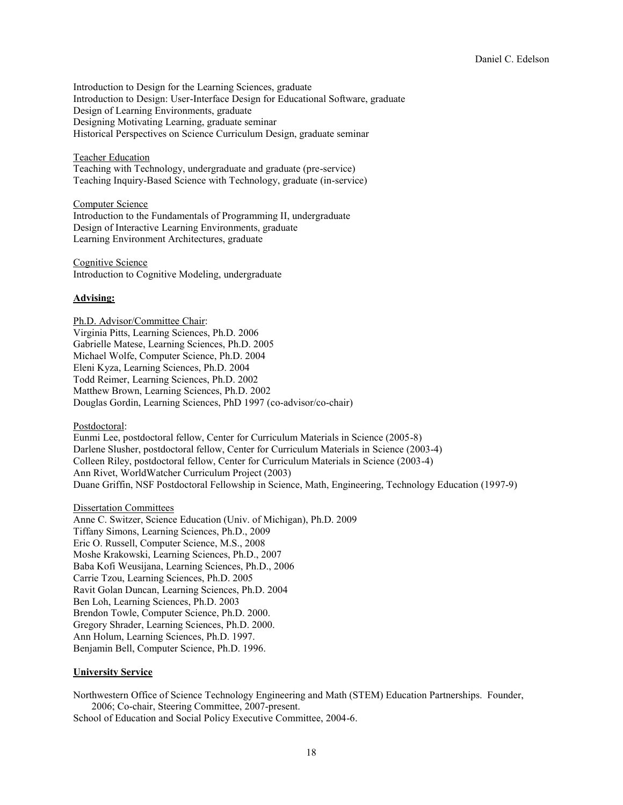Introduction to Design for the Learning Sciences, graduate Introduction to Design: User-Interface Design for Educational Software, graduate Design of Learning Environments, graduate Designing Motivating Learning, graduate seminar Historical Perspectives on Science Curriculum Design, graduate seminar

#### Teacher Education

Teaching with Technology, undergraduate and graduate (pre-service) Teaching Inquiry-Based Science with Technology, graduate (in-service)

Computer Science Introduction to the Fundamentals of Programming II, undergraduate Design of Interactive Learning Environments, graduate Learning Environment Architectures, graduate

Cognitive Science Introduction to Cognitive Modeling, undergraduate

#### **Advising:**

Ph.D. Advisor/Committee Chair: Virginia Pitts, Learning Sciences, Ph.D. 2006 Gabrielle Matese, Learning Sciences, Ph.D. 2005 Michael Wolfe, Computer Science, Ph.D. 2004 Eleni Kyza, Learning Sciences, Ph.D. 2004 Todd Reimer, Learning Sciences, Ph.D. 2002 Matthew Brown, Learning Sciences, Ph.D. 2002 Douglas Gordin, Learning Sciences, PhD 1997 (co-advisor/co-chair)

Postdoctoral:

Eunmi Lee, postdoctoral fellow, Center for Curriculum Materials in Science (2005-8) Darlene Slusher, postdoctoral fellow, Center for Curriculum Materials in Science (2003-4) Colleen Riley, postdoctoral fellow, Center for Curriculum Materials in Science (2003-4) Ann Rivet, WorldWatcher Curriculum Project (2003) Duane Griffin, NSF Postdoctoral Fellowship in Science, Math, Engineering, Technology Education (1997-9)

Dissertation Committees

Anne C. Switzer, Science Education (Univ. of Michigan), Ph.D. 2009 Tiffany Simons, Learning Sciences, Ph.D., 2009 Eric O. Russell, Computer Science, M.S., 2008 Moshe Krakowski, Learning Sciences, Ph.D., 2007 Baba Kofi Weusijana, Learning Sciences, Ph.D., 2006 Carrie Tzou, Learning Sciences, Ph.D. 2005 Ravit Golan Duncan, Learning Sciences, Ph.D. 2004 Ben Loh, Learning Sciences, Ph.D. 2003 Brendon Towle, Computer Science, Ph.D. 2000. Gregory Shrader, Learning Sciences, Ph.D. 2000. Ann Holum, Learning Sciences, Ph.D. 1997. Benjamin Bell, Computer Science, Ph.D. 1996.

#### **University Service**

Northwestern Office of Science Technology Engineering and Math (STEM) Education Partnerships. Founder, 2006; Co-chair, Steering Committee, 2007-present.

School of Education and Social Policy Executive Committee, 2004-6.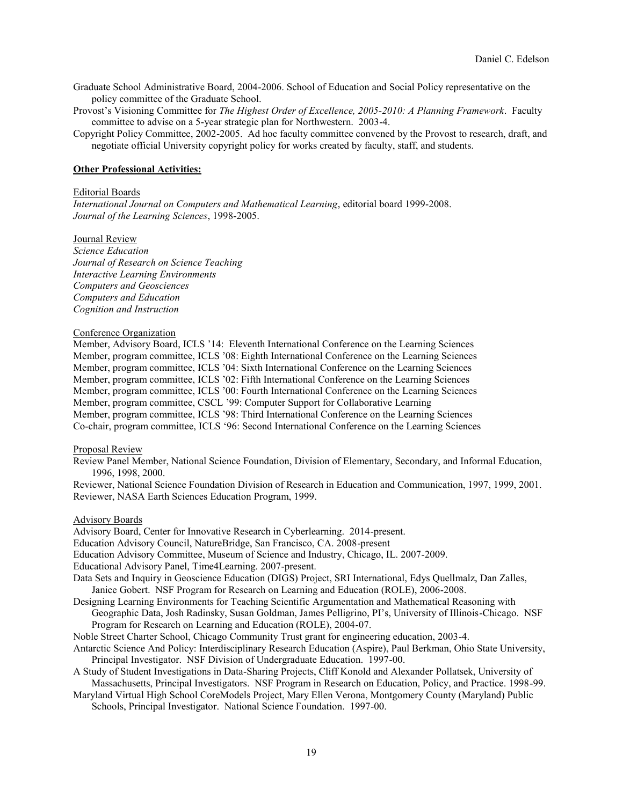Graduate School Administrative Board, 2004-2006. School of Education and Social Policy representative on the policy committee of the Graduate School.

Provost's Visioning Committee for *The Highest Order of Excellence, 2005-2010: A Planning Framework*. Faculty committee to advise on a 5-year strategic plan for Northwestern. 2003-4.

Copyright Policy Committee, 2002-2005. Ad hoc faculty committee convened by the Provost to research, draft, and negotiate official University copyright policy for works created by faculty, staff, and students.

#### **Other Professional Activities:**

#### Editorial Boards

*International Journal on Computers and Mathematical Learning*, editorial board 1999-2008. *Journal of the Learning Sciences*, 1998-2005.

Journal Review

*Science Education Journal of Research on Science Teaching Interactive Learning Environments Computers and Geosciences Computers and Education Cognition and Instruction*

#### Conference Organization

Member, Advisory Board, ICLS '14: Eleventh International Conference on the Learning Sciences Member, program committee, ICLS '08: Eighth International Conference on the Learning Sciences Member, program committee, ICLS '04: Sixth International Conference on the Learning Sciences Member, program committee, ICLS '02: Fifth International Conference on the Learning Sciences Member, program committee, ICLS '00: Fourth International Conference on the Learning Sciences Member, program committee, CSCL '99: Computer Support for Collaborative Learning Member, program committee, ICLS '98: Third International Conference on the Learning Sciences Co-chair, program committee, ICLS '96: Second International Conference on the Learning Sciences

#### Proposal Review

Review Panel Member, National Science Foundation, Division of Elementary, Secondary, and Informal Education, 1996, 1998, 2000.

Reviewer, National Science Foundation Division of Research in Education and Communication, 1997, 1999, 2001. Reviewer, NASA Earth Sciences Education Program, 1999.

#### Advisory Boards

Advisory Board, Center for Innovative Research in Cyberlearning. 2014-present.

Education Advisory Council, NatureBridge, San Francisco, CA. 2008-present

Education Advisory Committee, Museum of Science and Industry, Chicago, IL. 2007-2009.

Educational Advisory Panel, Time4Learning. 2007-present.

Data Sets and Inquiry in Geoscience Education (DIGS) Project, SRI International, Edys Quellmalz, Dan Zalles, Janice Gobert. NSF Program for Research on Learning and Education (ROLE), 2006-2008.

Designing Learning Environments for Teaching Scientific Argumentation and Mathematical Reasoning with Geographic Data, Josh Radinsky, Susan Goldman, James Pelligrino, PI's, University of Illinois-Chicago. NSF Program for Research on Learning and Education (ROLE), 2004-07.

Noble Street Charter School, Chicago Community Trust grant for engineering education, 2003-4.

- Antarctic Science And Policy: Interdisciplinary Research Education (Aspire), Paul Berkman, Ohio State University, Principal Investigator. NSF Division of Undergraduate Education. 1997-00.
- A Study of Student Investigations in Data-Sharing Projects, Cliff Konold and Alexander Pollatsek, University of Massachusetts, Principal Investigators. NSF Program in Research on Education, Policy, and Practice. 1998-99.
- Maryland Virtual High School CoreModels Project, Mary Ellen Verona, Montgomery County (Maryland) Public Schools, Principal Investigator. National Science Foundation. 1997-00.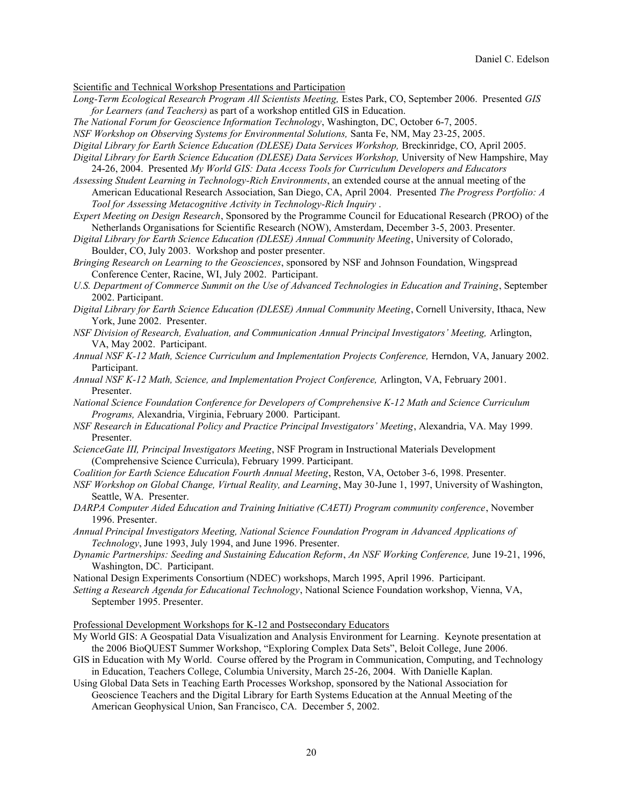Scientific and Technical Workshop Presentations and Participation

*Long-Term Ecological Research Program All Scientists Meeting,* Estes Park, CO, September 2006. Presented *GIS for Learners (and Teachers)* as part of a workshop entitled GIS in Education.

*The National Forum for Geoscience Information Technology*, Washington, DC, October 6-7, 2005.

*NSF Workshop on Observing Systems for Environmental Solutions,* Santa Fe, NM, May 23-25, 2005.

- *Digital Library for Earth Science Education (DLESE) Data Services Workshop,* Breckinridge, CO, April 2005.
- *Digital Library for Earth Science Education (DLESE) Data Services Workshop,* University of New Hampshire, May 24-26, 2004. Presented *My World GIS: Data Access Tools for Curriculum Developers and Educators*

*Assessing Student Learning in Technology-Rich Environments*, an extended course at the annual meeting of the American Educational Research Association, San Diego, CA, April 2004. Presented *The Progress Portfolio: A Tool for Assessing Metacognitive Activity in Technology-Rich Inquiry* .

*Expert Meeting on Design Research*, Sponsored by the Programme Council for Educational Research (PROO) of the Netherlands Organisations for Scientific Research (NOW), Amsterdam, December 3-5, 2003. Presenter.

*Digital Library for Earth Science Education (DLESE) Annual Community Meeting*, University of Colorado, Boulder, CO, July 2003. Workshop and poster presenter.

- *Bringing Research on Learning to the Geosciences*, sponsored by NSF and Johnson Foundation, Wingspread Conference Center, Racine, WI, July 2002. Participant.
- *U.S. Department of Commerce Summit on the Use of Advanced Technologies in Education and Training*, September 2002. Participant.
- *Digital Library for Earth Science Education (DLESE) Annual Community Meeting*, Cornell University, Ithaca, New York, June 2002. Presenter.
- *NSF Division of Research, Evaluation, and Communication Annual Principal Investigators' Meeting,* Arlington, VA, May 2002. Participant.
- *Annual NSF K-12 Math, Science Curriculum and Implementation Projects Conference,* Herndon, VA, January 2002. Participant.
- *Annual NSF K-12 Math, Science, and Implementation Project Conference,* Arlington, VA, February 2001. Presenter.
- *National Science Foundation Conference for Developers of Comprehensive K-12 Math and Science Curriculum Programs,* Alexandria, Virginia, February 2000. Participant.
- *NSF Research in Educational Policy and Practice Principal Investigators' Meeting*, Alexandria, VA. May 1999. Presenter.
- *ScienceGate III, Principal Investigators Meeting*, NSF Program in Instructional Materials Development (Comprehensive Science Curricula), February 1999. Participant.
- *Coalition for Earth Science Education Fourth Annual Meeting*, Reston, VA, October 3-6, 1998. Presenter.
- *NSF Workshop on Global Change, Virtual Reality, and Learning*, May 30-June 1, 1997, University of Washington, Seattle, WA. Presenter.
- *DARPA Computer Aided Education and Training Initiative (CAETI) Program community conference*, November 1996. Presenter.
- *Annual Principal Investigators Meeting, National Science Foundation Program in Advanced Applications of Technology*, June 1993, July 1994, and June 1996. Presenter.
- *Dynamic Partnerships: Seeding and Sustaining Education Reform*, *An NSF Working Conference,* June 19-21, 1996, Washington, DC. Participant.
- National Design Experiments Consortium (NDEC) workshops, March 1995, April 1996. Participant.

*Setting a Research Agenda for Educational Technology*, National Science Foundation workshop, Vienna, VA, September 1995. Presenter.

Professional Development Workshops for K-12 and Postsecondary Educators

- My World GIS: A Geospatial Data Visualization and Analysis Environment for Learning. Keynote presentation at the 2006 BioQUEST Summer Workshop, "Exploring Complex Data Sets", Beloit College, June 2006.
- GIS in Education with My World. Course offered by the Program in Communication, Computing, and Technology in Education, Teachers College, Columbia University, March 25-26, 2004. With Danielle Kaplan.
- Using Global Data Sets in Teaching Earth Processes Workshop, sponsored by the National Association for Geoscience Teachers and the Digital Library for Earth Systems Education at the Annual Meeting of the American Geophysical Union, San Francisco, CA. December 5, 2002.